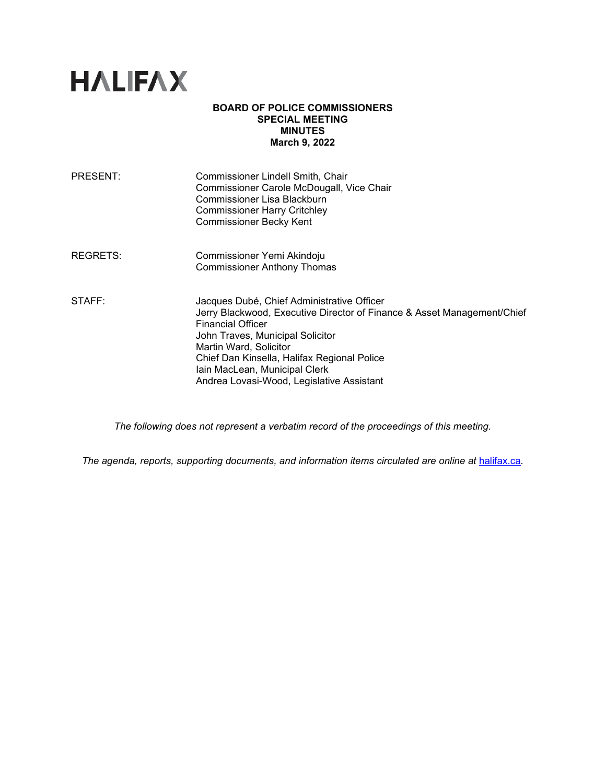

#### **BOARD OF POLICE COMMISSIONERS SPECIAL MEETING MINUTES March 9, 2022**

| <b>PRESENT:</b> | Commissioner Lindell Smith, Chair<br>Commissioner Carole McDougall, Vice Chair<br>Commissioner Lisa Blackburn<br><b>Commissioner Harry Critchley</b><br><b>Commissioner Becky Kent</b>                                                                                                                                                       |
|-----------------|----------------------------------------------------------------------------------------------------------------------------------------------------------------------------------------------------------------------------------------------------------------------------------------------------------------------------------------------|
| REGRETS:        | Commissioner Yemi Akindoju<br><b>Commissioner Anthony Thomas</b>                                                                                                                                                                                                                                                                             |
| STAFF:          | Jacques Dubé, Chief Administrative Officer<br>Jerry Blackwood, Executive Director of Finance & Asset Management/Chief<br><b>Financial Officer</b><br>John Traves, Municipal Solicitor<br>Martin Ward, Solicitor<br>Chief Dan Kinsella, Halifax Regional Police<br>Iain MacLean, Municipal Clerk<br>Andrea Lovasi-Wood, Legislative Assistant |

*The following does not represent a verbatim record of the proceedings of this meeting.*

*The agenda, reports, supporting documents, and information items circulated are online at [halifax.ca](http://www.halifax.ca/).*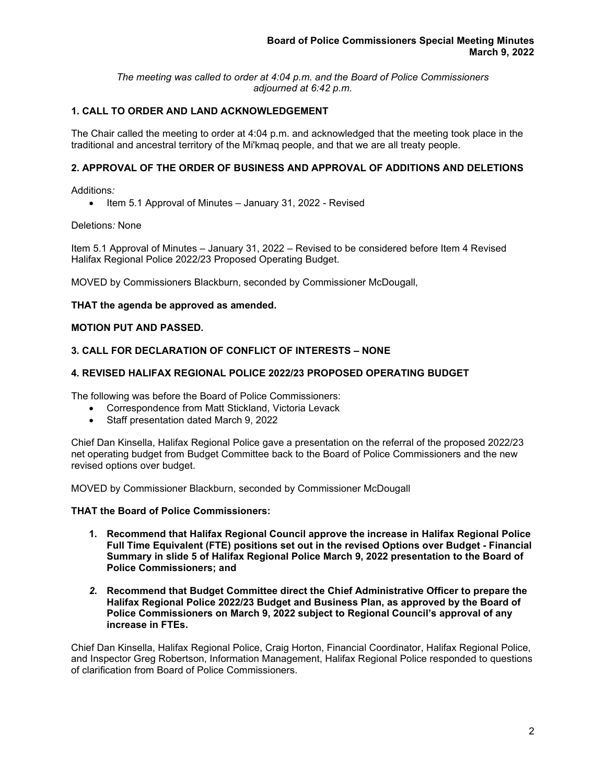*The meeting was called to order at 4:04 p.m. and the Board of Police Commissioners adjourned at 6:42 p.m.*

# **1. CALL TO ORDER AND LAND ACKNOWLEDGEMENT**

The Chair called the meeting to order at 4:04 p.m. and acknowledged that the meeting took place in the traditional and ancestral territory of the Mi'kmaq people, and that we are all treaty people.

# **2. APPROVAL OF THE ORDER OF BUSINESS AND APPROVAL OF ADDITIONS AND DELETIONS**

Additions*:* 

• Item 5.1 Approval of Minutes – January 31, 2022 - Revised

Deletions*:* None

Item 5.1 Approval of Minutes – January 31, 2022 – Revised to be considered before Item 4 Revised Halifax Regional Police 2022/23 Proposed Operating Budget.

MOVED by Commissioners Blackburn, seconded by Commissioner McDougall,

### **THAT the agenda be approved as amended.**

### **MOTION PUT AND PASSED.**

# **3. CALL FOR DECLARATION OF CONFLICT OF INTERESTS – NONE**

### **4. REVISED HALIFAX REGIONAL POLICE 2022/23 PROPOSED OPERATING BUDGET**

The following was before the Board of Police Commissioners:

- Correspondence from Matt Stickland, Victoria Levack
- Staff presentation dated March 9, 2022

Chief Dan Kinsella, Halifax Regional Police gave a presentation on the referral of the proposed 2022/23 net operating budget from Budget Committee back to the Board of Police Commissioners and the new revised options over budget.

MOVED by Commissioner Blackburn, seconded by Commissioner McDougall

## **THAT the Board of Police Commissioners:**

- **1. Recommend that Halifax Regional Council approve the increase in Halifax Regional Police Full Time Equivalent (FTE) positions set out in the revised Options over Budget - Financial Summary in slide 5 of Halifax Regional Police March 9, 2022 presentation to the Board of Police Commissioners; and**
- *2.* **Recommend that Budget Committee direct the Chief Administrative Officer to prepare the Halifax Regional Police 2022/23 Budget and Business Plan, as approved by the Board of Police Commissioners on March 9, 2022 subject to Regional Council's approval of any increase in FTEs.**

Chief Dan Kinsella, Halifax Regional Police, Craig Horton, Financial Coordinator, Halifax Regional Police, and Inspector Greg Robertson, Information Management, Halifax Regional Police responded to questions of clarification from Board of Police Commissioners.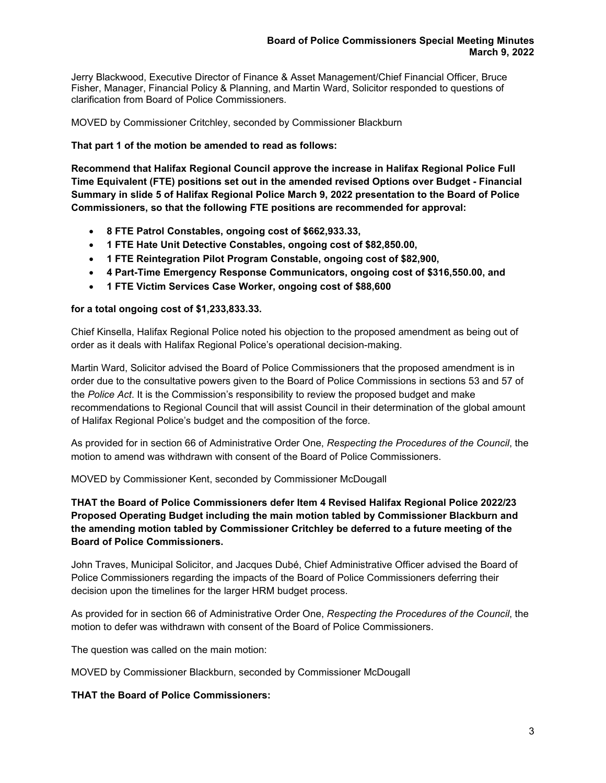Jerry Blackwood, Executive Director of Finance & Asset Management/Chief Financial Officer, Bruce Fisher, Manager, Financial Policy & Planning, and Martin Ward, Solicitor responded to questions of clarification from Board of Police Commissioners*.*

MOVED by Commissioner Critchley, seconded by Commissioner Blackburn

## **That part 1 of the motion be amended to read as follows:**

**Recommend that Halifax Regional Council approve the increase in Halifax Regional Police Full Time Equivalent (FTE) positions set out in the amended revised Options over Budget - Financial Summary in slide 5 of Halifax Regional Police March 9, 2022 presentation to the Board of Police Commissioners, so that the following FTE positions are recommended for approval:**

- **8 FTE Patrol Constables, ongoing cost of \$662,933.33,**
- **1 FTE Hate Unit Detective Constables, ongoing cost of \$82,850.00,**
- **1 FTE Reintegration Pilot Program Constable, ongoing cost of \$82,900,**
- **4 Part-Time Emergency Response Communicators, ongoing cost of \$316,550.00, and**
- **1 FTE Victim Services Case Worker, ongoing cost of \$88,600**

### **for a total ongoing cost of \$1,233,833.33.**

Chief Kinsella, Halifax Regional Police noted his objection to the proposed amendment as being out of order as it deals with Halifax Regional Police's operational decision-making.

Martin Ward, Solicitor advised the Board of Police Commissioners that the proposed amendment is in order due to the consultative powers given to the Board of Police Commissions in sections 53 and 57 of the *Police Act*. It is the Commission's responsibility to review the proposed budget and make recommendations to Regional Council that will assist Council in their determination of the global amount of Halifax Regional Police's budget and the composition of the force.

As provided for in section 66 of Administrative Order One, *Respecting the Procedures of the Council*, the motion to amend was withdrawn with consent of the Board of Police Commissioners.

MOVED by Commissioner Kent, seconded by Commissioner McDougall

# **THAT the Board of Police Commissioners defer Item 4 Revised Halifax Regional Police 2022/23 Proposed Operating Budget including the main motion tabled by Commissioner Blackburn and the amending motion tabled by Commissioner Critchley be deferred to a future meeting of the Board of Police Commissioners.**

John Traves, Municipal Solicitor, and Jacques Dubé, Chief Administrative Officer advised the Board of Police Commissioners regarding the impacts of the Board of Police Commissioners deferring their decision upon the timelines for the larger HRM budget process.

As provided for in section 66 of Administrative Order One, *Respecting the Procedures of the Council*, the motion to defer was withdrawn with consent of the Board of Police Commissioners.

The question was called on the main motion:

MOVED by Commissioner Blackburn, seconded by Commissioner McDougall

# **THAT the Board of Police Commissioners:**